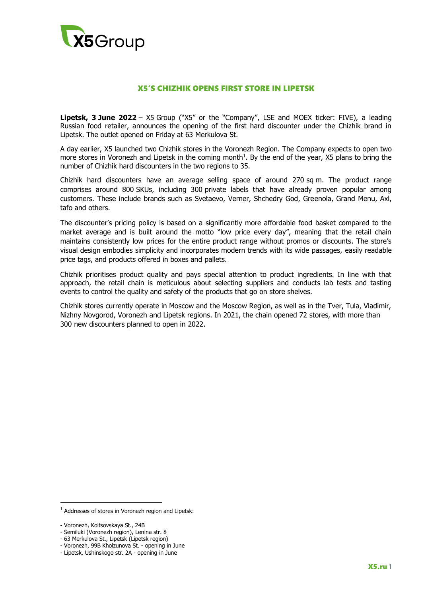

# X5'S CHIZHIK OPENS FIRST STORE IN LIPETSK

**Lipetsk, 3 June 2022** – X5 Group ("X5" or the "Company", LSE and MOEX ticker: FIVE), a leading Russian food retailer, announces the opening of the first hard discounter under the Chizhik brand in Lipetsk. The outlet opened on Friday at 63 Merkulova St.

A day earlier, X5 launched two Chizhik stores in the Voronezh Region. The Company expects to open two more stores in Voronezh and Lipetsk in the coming month<sup>1</sup>. By the end of the year,  $X5$  plans to bring the number of Chizhik hard discounters in the two regions to 35.

Chizhik hard discounters have an average selling space of around 270 sq m. The product range comprises around 800 SKUs, including 300 private labels that have already proven popular among customers. These include brands such as Svetaevo, Verner, Shchedry God, Greenola, Grand Menu, Axl, tafo and others.

The discounter's pricing policy is based on a significantly more affordable food basket compared to the market average and is built around the motto "low price every day", meaning that the retail chain maintains consistently low prices for the entire product range without promos or discounts. The store's visual design embodies simplicity and incorporates modern trends with its wide passages, easily readable price tags, and products offered in boxes and pallets.

Chizhik prioritises product quality and pays special attention to product ingredients. In line with that approach, the retail chain is meticulous about selecting suppliers and conducts lab tests and tasting events to control the quality and safety of the products that go on store shelves.

Chizhik stores currently operate in Moscow and the Moscow Region, as well as in the Tver, Tula, Vladimir, Nizhny Novgorod, Voronezh and Lipetsk regions. In 2021, the chain opened 72 stores, with more than 300 new discounters planned to open in 2022.

**.** 

<sup>1</sup> Addresses of stores in Voronezh region and Lipetsk:

<sup>-</sup> Voronezh, Koltsovskaya St., 24B

<sup>-</sup> Semiluki (Voronezh region), Lenina str. 8

<sup>-</sup> 63 Merkulova St., Lipetsk (Lipetsk region)

<sup>-</sup> Voronezh, 99B Kholzunova St. - opening in June

<sup>-</sup> Lipetsk, Ushinskogo str. 2A - opening in June